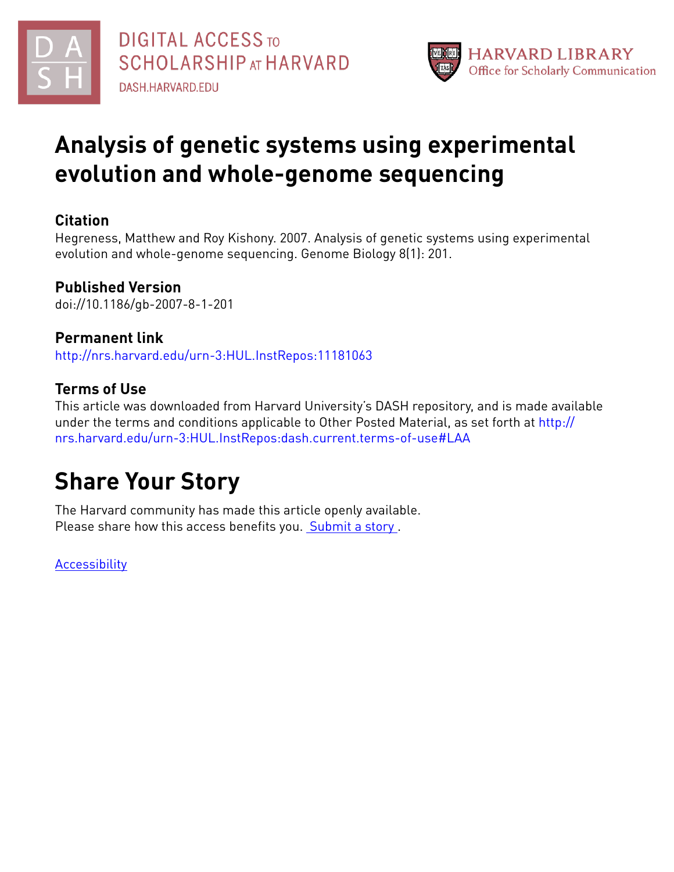



# **Analysis of genetic systems using experimental evolution and whole-genome sequencing**

### **Citation**

Hegreness, Matthew and Roy Kishony. 2007. Analysis of genetic systems using experimental evolution and whole-genome sequencing. Genome Biology 8(1): 201.

## **Published Version**

doi://10.1186/gb-2007-8-1-201

## **Permanent link**

<http://nrs.harvard.edu/urn-3:HUL.InstRepos:11181063>

## **Terms of Use**

This article was downloaded from Harvard University's DASH repository, and is made available under the terms and conditions applicable to Other Posted Material, as set forth at [http://](http://nrs.harvard.edu/urn-3:HUL.InstRepos:dash.current.terms-of-use#LAA) [nrs.harvard.edu/urn-3:HUL.InstRepos:dash.current.terms-of-use#LAA](http://nrs.harvard.edu/urn-3:HUL.InstRepos:dash.current.terms-of-use#LAA)

# **Share Your Story**

The Harvard community has made this article openly available. Please share how this access benefits you. [Submit](http://osc.hul.harvard.edu/dash/open-access-feedback?handle=&title=Analysis%20of%20genetic%20systems%20using%20experimental%20evolution%20and%20whole-genome%20sequencing&community=1/4454685&collection=1/4454686&owningCollection1/4454686&harvardAuthors=847bd36bc33549e8699e8dbaed695d92&department) a story.

**[Accessibility](https://dash.harvard.edu/pages/accessibility)**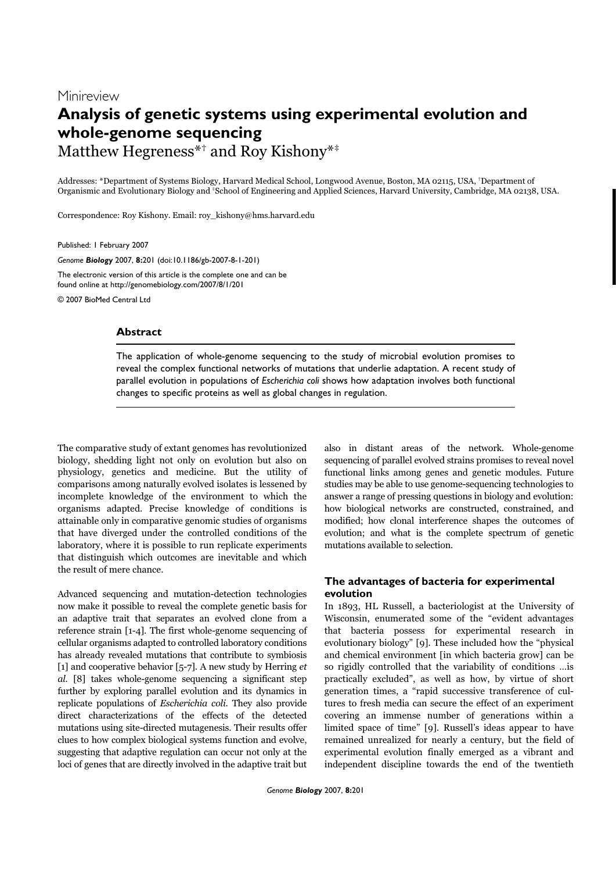## Minireview **Analysis of genetic systems using experimental evolution and whole-genome sequencing** Matthew Hegreness<sup>\*†</sup> and Roy Kishony<sup>\*\*</sup>

Addresses: \*Department of Systems Biology, Harvard Medical School, Longwood Avenue, Boston, MA 02115, USA, †Department of Organismic and Evolutionary Biology and ‡School of Engineering and Applied Sciences, Harvard University, Cambridge, MA 02138, USA.

Correspondence: Roy Kishony. Email: roy\_kishony@hms.harvard.edu

Published: 1 February 2007

*Genome Biology* 2007, **8:**201 (doi:10.1186/gb-2007-8-1-201)

The electronic version of this article is the complete one and can be found online at http://genomebiology.com/2007/8/1/201

© 2007 BioMed Central Ltd

#### **Abstract**

The application of whole-genome sequencing to the study of microbial evolution promises to reveal the complex functional networks of mutations that underlie adaptation. A recent study of parallel evolution in populations of *Escherichia coli* shows how adaptation involves both functional changes to specific proteins as well as global changes in regulation.

The comparative study of extant genomes has revolutionized biology, shedding light not only on evolution but also on physiology, genetics and medicine. But the utility of comparisons among naturally evolved isolates is lessened by incomplete knowledge of the environment to which the organisms adapted. Precise knowledge of conditions is attainable only in comparative genomic studies of organisms that have diverged under the controlled conditions of the laboratory, where it is possible to run replicate experiments that distinguish which outcomes are inevitable and which the result of mere chance.

Advanced sequencing and mutation-detection technologies now make it possible to reveal the complete genetic basis for an adaptive trait that separates an evolved clone from a reference strain [1-4]. The first whole-genome sequencing of cellular organisms adapted to controlled laboratory conditions has already revealed mutations that contribute to symbiosis [1] and cooperative behavior [5-7]. A new study by Herring  $et$ al. [8] takes whole-genome sequencing a significant step further by exploring parallel evolution and its dynamics in replicate populations of Escherichia coli. They also provide direct characterizations of the effects of the detected mutations using site-directed mutagenesis. Their results offer clues to how complex biological systems function and evolve, suggesting that adaptive regulation can occur not only at the loci of genes that are directly involved in the adaptive trait but also in distant areas of the network. Whole-genome sequencing of parallel evolved strains promises to reveal novel functional links among genes and genetic modules. Future studies may be able to use genome-sequencing technologies to answer a range of pressing questions in biology and evolution: how biological networks are constructed, constrained, and modified; how clonal interference shapes the outcomes of evolution; and what is the complete spectrum of genetic mutations available to selection.

### **The advantages of bacteria for experimental evolution**

In 1893, HL Russell, a bacteriologist at the University of Wisconsin, enumerated some of the "evident advantages that bacteria possess for experimental research in evolutionary biology" [9]. These included how the "physical and chemical environment [in which bacteria grow] can be so rigidly controlled that the variability of conditions …is practically excluded", as well as how, by virtue of short generation times, a "rapid successive transference of cultures to fresh media can secure the effect of an experiment covering an immense number of generations within a limited space of time" [9]. Russell's ideas appear to have remained unrealized for nearly a century, but the field of experimental evolution finally emerged as a vibrant and independent discipline towards the end of the twentieth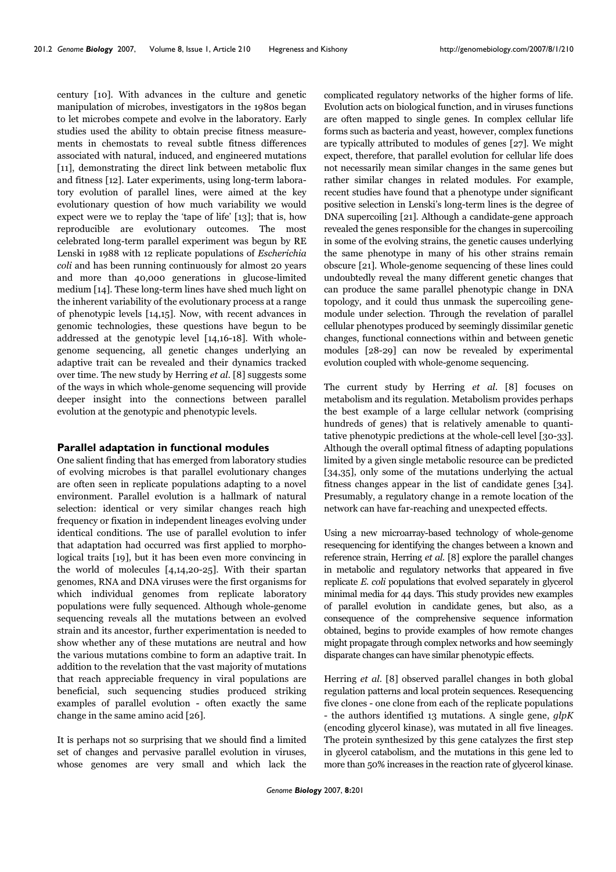century [10]. With advances in the culture and genetic manipulation of microbes, investigators in the 1980s began to let microbes compete and evolve in the laboratory. Early studies used the ability to obtain precise fitness measurements in chemostats to reveal subtle fitness differences associated with natural, induced, and engineered mutations [11], demonstrating the direct link between metabolic flux and fitness [12]. Later experiments, using long-term laboratory evolution of parallel lines, were aimed at the key evolutionary question of how much variability we would expect were we to replay the 'tape of life' [13]; that is, how reproducible are evolutionary outcomes. The most celebrated long-term parallel experiment was begun by RE Lenski in 1988 with 12 replicate populations of Escherichia coli and has been running continuously for almost 20 years and more than 40,000 generations in glucose-limited medium [14]. These long-term lines have shed much light on the inherent variability of the evolutionary process at a range of phenotypic levels [14,15]. Now, with recent advances in genomic technologies, these questions have begun to be addressed at the genotypic level [14,16-18]. With wholegenome sequencing, all genetic changes underlying an adaptive trait can be revealed and their dynamics tracked over time. The new study by Herring et al. [8] suggests some of the ways in which whole-genome sequencing will provide deeper insight into the connections between parallel evolution at the genotypic and phenotypic levels.

#### **Parallel adaptation in functional modules**

One salient finding that has emerged from laboratory studies of evolving microbes is that parallel evolutionary changes are often seen in replicate populations adapting to a novel environment. Parallel evolution is a hallmark of natural selection: identical or very similar changes reach high frequency or fixation in independent lineages evolving under identical conditions. The use of parallel evolution to infer that adaptation had occurred was first applied to morphological traits [19], but it has been even more convincing in the world of molecules [4,14,20-25]. With their spartan genomes, RNA and DNA viruses were the first organisms for which individual genomes from replicate laboratory populations were fully sequenced. Although whole-genome sequencing reveals all the mutations between an evolved strain and its ancestor, further experimentation is needed to show whether any of these mutations are neutral and how the various mutations combine to form an adaptive trait. In addition to the revelation that the vast majority of mutations that reach appreciable frequency in viral populations are beneficial, such sequencing studies produced striking examples of parallel evolution - often exactly the same change in the same amino acid [26].

It is perhaps not so surprising that we should find a limited set of changes and pervasive parallel evolution in viruses, whose genomes are very small and which lack the

complicated regulatory networks of the higher forms of life. Evolution acts on biological function, and in viruses functions are often mapped to single genes. In complex cellular life forms such as bacteria and yeast, however, complex functions are typically attributed to modules of genes [27]. We might expect, therefore, that parallel evolution for cellular life does not necessarily mean similar changes in the same genes but rather similar changes in related modules. For example, recent studies have found that a phenotype under significant positive selection in Lenski's long-term lines is the degree of DNA supercoiling [21]. Although a candidate-gene approach revealed the genes responsible for the changes in supercoiling in some of the evolving strains, the genetic causes underlying the same phenotype in many of his other strains remain obscure [21]. Whole-genome sequencing of these lines could undoubtedly reveal the many different genetic changes that can produce the same parallel phenotypic change in DNA topology, and it could thus unmask the supercoiling genemodule under selection. Through the revelation of parallel cellular phenotypes produced by seemingly dissimilar genetic changes, functional connections within and between genetic modules [28-29] can now be revealed by experimental evolution coupled with whole-genome sequencing.

The current study by Herring et al. [8] focuses on metabolism and its regulation. Metabolism provides perhaps the best example of a large cellular network (comprising hundreds of genes) that is relatively amenable to quantitative phenotypic predictions at the whole-cell level [30-33]. Although the overall optimal fitness of adapting populations limited by a given single metabolic resource can be predicted [34,35], only some of the mutations underlying the actual fitness changes appear in the list of candidate genes [34]. Presumably, a regulatory change in a remote location of the network can have far-reaching and unexpected effects.

Using a new microarray-based technology of whole-genome resequencing for identifying the changes between a known and reference strain, Herring et al. [8] explore the parallel changes in metabolic and regulatory networks that appeared in five replicate E. coli populations that evolved separately in glycerol minimal media for 44 days. This study provides new examples of parallel evolution in candidate genes, but also, as a consequence of the comprehensive sequence information obtained, begins to provide examples of how remote changes might propagate through complex networks and how seemingly disparate changes can have similar phenotypic effects.

Herring et al. [8] observed parallel changes in both global regulation patterns and local protein sequences. Resequencing five clones - one clone from each of the replicate populations - the authors identified 13 mutations. A single gene,  $glpK$ (encoding glycerol kinase), was mutated in all five lineages. The protein synthesized by this gene catalyzes the first step in glycerol catabolism, and the mutations in this gene led to more than 50% increases in the reaction rate of glycerol kinase.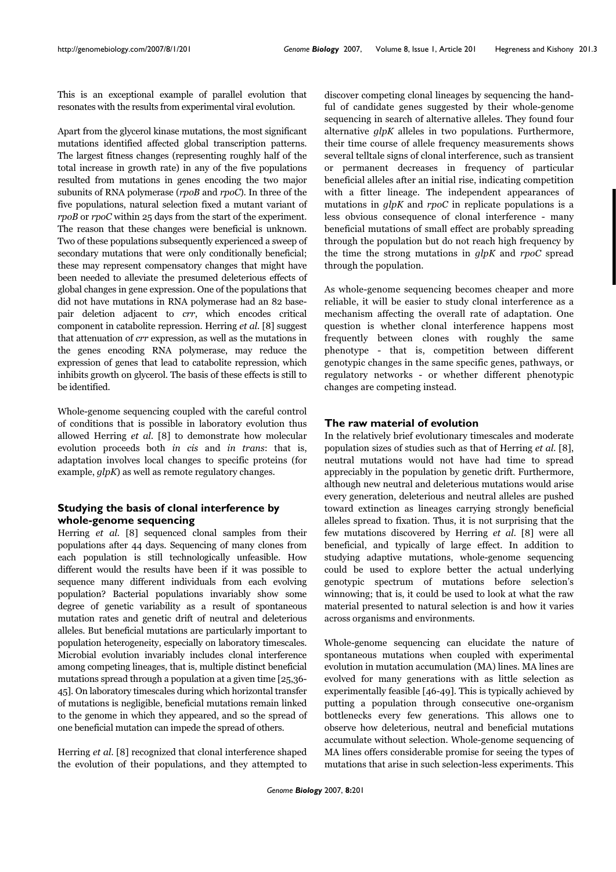This is an exceptional example of parallel evolution that resonates with the results from experimental viral evolution.

Apart from the glycerol kinase mutations, the most significant mutations identified affected global transcription patterns. The largest fitness changes (representing roughly half of the total increase in growth rate) in any of the five populations resulted from mutations in genes encoding the two major subunits of RNA polymerase (rpoB and rpoC). In three of the five populations, natural selection fixed a mutant variant of rpoB or rpoC within 25 days from the start of the experiment. The reason that these changes were beneficial is unknown. Two of these populations subsequently experienced a sweep of secondary mutations that were only conditionally beneficial; these may represent compensatory changes that might have been needed to alleviate the presumed deleterious effects of global changes in gene expression. One of the populations that did not have mutations in RNA polymerase had an 82 basepair deletion adjacent to crr, which encodes critical component in catabolite repression. Herring et al. [8] suggest that attenuation of crr expression, as well as the mutations in the genes encoding RNA polymerase, may reduce the expression of genes that lead to catabolite repression, which inhibits growth on glycerol. The basis of these effects is still to be identified.

Whole-genome sequencing coupled with the careful control of conditions that is possible in laboratory evolution thus allowed Herring et al. [8] to demonstrate how molecular evolution proceeds both in cis and in trans: that is, adaptation involves local changes to specific proteins (for example, glpK) as well as remote regulatory changes.

### **Studying the basis of clonal interference by whole-genome sequencing**

Herring et al. [8] sequenced clonal samples from their populations after 44 days. Sequencing of many clones from each population is still technologically unfeasible. How different would the results have been if it was possible to sequence many different individuals from each evolving population? Bacterial populations invariably show some degree of genetic variability as a result of spontaneous mutation rates and genetic drift of neutral and deleterious alleles. But beneficial mutations are particularly important to population heterogeneity, especially on laboratory timescales. Microbial evolution invariably includes clonal interference among competing lineages, that is, multiple distinct beneficial mutations spread through a population at a given time [25,36- 45]. On laboratory timescales during which horizontal transfer of mutations is negligible, beneficial mutations remain linked to the genome in which they appeared, and so the spread of one beneficial mutation can impede the spread of others.

Herring et al. [8] recognized that clonal interference shaped the evolution of their populations, and they attempted to discover competing clonal lineages by sequencing the handful of candidate genes suggested by their whole-genome sequencing in search of alternative alleles. They found four alternative  $qlpK$  alleles in two populations. Furthermore, their time course of allele frequency measurements shows several telltale signs of clonal interference, such as transient or permanent decreases in frequency of particular beneficial alleles after an initial rise, indicating competition with a fitter lineage. The independent appearances of mutations in  $glpK$  and  $rpoC$  in replicate populations is a less obvious consequence of clonal interference - many beneficial mutations of small effect are probably spreading through the population but do not reach high frequency by the time the strong mutations in  $glpK$  and  $rpoC$  spread through the population.

As whole-genome sequencing becomes cheaper and more reliable, it will be easier to study clonal interference as a mechanism affecting the overall rate of adaptation. One question is whether clonal interference happens most frequently between clones with roughly the same phenotype - that is, competition between different genotypic changes in the same specific genes, pathways, or regulatory networks - or whether different phenotypic changes are competing instead.

#### **The raw material of evolution**

In the relatively brief evolutionary timescales and moderate population sizes of studies such as that of Herring et al. [8], neutral mutations would not have had time to spread appreciably in the population by genetic drift. Furthermore, although new neutral and deleterious mutations would arise every generation, deleterious and neutral alleles are pushed toward extinction as lineages carrying strongly beneficial alleles spread to fixation. Thus, it is not surprising that the few mutations discovered by Herring et al. [8] were all beneficial, and typically of large effect. In addition to studying adaptive mutations, whole-genome sequencing could be used to explore better the actual underlying genotypic spectrum of mutations before selection's winnowing; that is, it could be used to look at what the raw material presented to natural selection is and how it varies across organisms and environments.

Whole-genome sequencing can elucidate the nature of spontaneous mutations when coupled with experimental evolution in mutation accumulation (MA) lines. MA lines are evolved for many generations with as little selection as experimentally feasible [46-49]. This is typically achieved by putting a population through consecutive one-organism bottlenecks every few generations. This allows one to observe how deleterious, neutral and beneficial mutations accumulate without selection. Whole-genome sequencing of MA lines offers considerable promise for seeing the types of mutations that arise in such selection-less experiments. This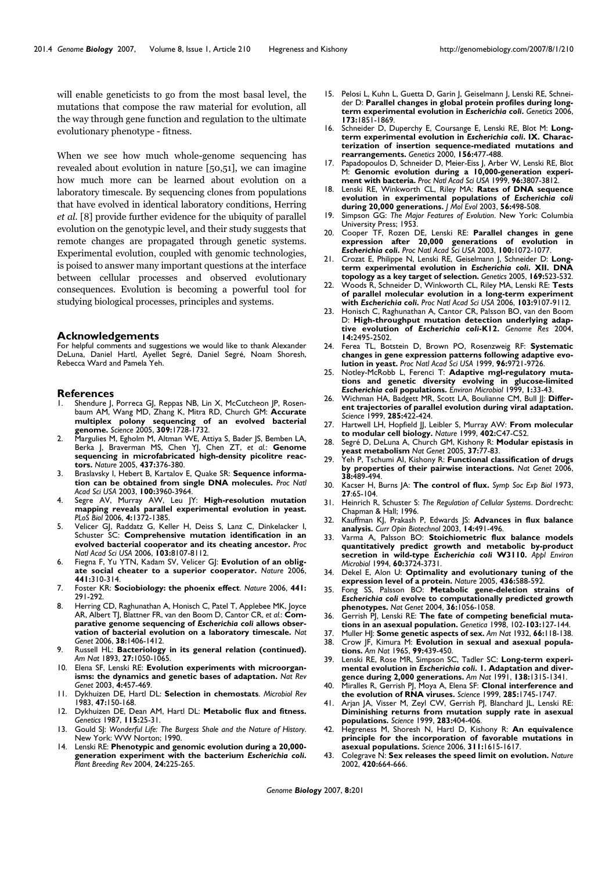will enable geneticists to go from the most basal level, the mutations that compose the raw material for evolution, all the way through gene function and regulation to the ultimate evolutionary phenotype - fitness.

When we see how much whole-genome sequencing has revealed about evolution in nature [50,51], we can imagine how much more can be learned about evolution on a laboratory timescale. By sequencing clones from populations that have evolved in identical laboratory conditions, Herring et al. [8] provide further evidence for the ubiquity of parallel evolution on the genotypic level, and their study suggests that remote changes are propagated through genetic systems. Experimental evolution, coupled with genomic technologies, is poised to answer many important questions at the interface between cellular processes and observed evolutionary consequences. Evolution is becoming a powerful tool for studying biological processes, principles and systems.

#### **Acknowledgements**

For helpful comments and suggestions we would like to thank Alexander DeLuna, Daniel Hartl, Ayellet Segré, Daniel Segré, Noam Shoresh, Rebecca Ward and Pamela Yeh.

#### **References**

- Shendure J, Porreca GJ, Reppas NB, Lin X, McCutcheon JP, Rosenbaum AM, Wang MD, Zhang K, Mitra RD, Church GM: **Accurate multiplex polony sequencing of an evolved bacterial genome.** *Science* 2005, **309:**1728-1732.
- 2. Margulies M, Egholm M, Altman WE, Attiya S, Bader JS, Bemben LA, Berka J, Braverman MS, Chen YJ, Chen ZT, *et al.*: **Genome sequencing in microfabricated high-density picolitre reactors.** *Nature* 2005, **437:**376-380.
- 3. Braslavsky I, Hebert B, Kartalov E, Quake SR: **Sequence information can be obtained from single DNA molecules.** *Proc Natl Acad Sci USA* 2003, **100:**3960-3964.
- 4. Segre AV, Murray AW, Leu JY: **High-resolution mutation mapping reveals parallel experimental evolution in yeast.** *PLoS Biol* 2006, **4:**1372-1385.
- 5. Velicer GJ, Raddatz G, Keller H, Deiss S, Lanz C, Dinkelacker I, Schuster SC: **Comprehensive mutation identification in an evolved bacterial cooperator and its cheating ancestor.** *Proc Natl Acad Sci USA* 2006, **103:**8107-8112.
- 6. Fiegna F, Yu YTN, Kadam SV, Velicer GJ: **Evolution of an obligate social cheater to a superior cooperator.** *Nature* 2006, **441:**310-314.
- 7. Foster KR: **Sociobiology: the phoenix effect**. *Nature* 2006, **441:** 291-292.
- 8. Herring CD, Raghunathan A, Honisch C, Patel T, Applebee MK, Joyce AR, Albert TJ, Blattner FR, van den Boom D, Cantor CR, *et al.*: **Comparative genome sequencing of** *Escherichia coli* **allows observation of bacterial evolution on a laboratory timescale.** *Nat Genet* 2006, **38:**1406-1412.
- 9. Russell HL: **Bacteriology in its general relation (continued).** *Am Nat* 1893, **27:**1050-1065.
- 10. Elena SF, Lenski RE: **Evolution experiments with microorganisms: the dynamics and genetic bases of adaptation.** *Nat Rev Genet* 2003, **4:**457-469.
- 11. Dykhuizen DE, Hartl DL: **Selection in chemostats**. *Microbiol Rev* 1983, **47:**150-168.
- 12. Dykhuizen DE, Dean AM, Hartl DL: **Metabolic flux and fitness.** *Genetics* 1987, **115:**25-31.
- 13. Gould SJ: *Wonderful Life: The Burgess Shale and the Nature of History*. New York: WW Norton; 1990.
- 14. Lenski RE: **Phenotypic and genomic evolution during a 20,000 generation experiment with the bacterium** *Escherichia coli***.** *Plant Breeding Rev* 2004, **24:**225-265.
- 15. Pelosi L, Kuhn L, Guetta D, Garin J, Geiselmann J, Lenski RE, Schneider D: **Parallel changes in global protein profiles during longterm experimental evolution in** *Escherichia coli***.** *Genetics* 2006, **173:**1851-1869.
- 16. Schneider D, Duperchy E, Coursange E, Lenski RE, Blot M: **Longterm experimental evolution in** *Escherichia coli***. IX. Characterization of insertion sequence-mediated mutations and rearrangements.** *Genetics* 2000, **156:**477-488.
- 17. Papadopoulos D, Schneider D, Meier-Eiss J, Arber W, Lenski RE, Blot M: **Genomic evolution during a 10,000-generation experiment with bacteria.** *Proc Natl Acad Sci USA* 1999, **96:**3807-3812.
- 18. Lenski RE, Winkworth CL, Riley MA: **Rates of DNA sequence evolution in experimental populations of** *Escherichia coli* **during 20,000 generations.** *J Mol Evol* 2003, **56:**498-508.
- 19. Simpson GG: *The Major Features of Evolution*. New York: Columbia University Press; 1953.
- 20. Cooper TF, Rozen DE, Lenski RE: **Parallel changes in gene expression after 20,000 generations of evolution in** *Escherichia coli***.** *Proc Natl Acad Sci USA* 2003, **100:**1072-1077.
- 21. Crozat E, Philippe N, Lenski RE, Geiselmann J, Schneider D: **Longterm experimental evolution in** *Escherichia coli***. XII. DNA topology as a key target of selection.** *Genetics* 2005, **169:**523-532.
- 22. Woods R, Schneider D, Winkworth CL, Riley MA, Lenski RE: **Tests of parallel molecular evolution in a long-term experiment with** *Escherichia coli***.** *Proc Natl Acad Sci USA* 2006, **103:**9107-9112.
- 23. Honisch C, Raghunathan A, Cantor CR, Palsson BO, van den Boom D: **High-throughput mutation detection underlying adaptive evolution of** *Escherichia coli***-K12.** *Genome Res* 2004, **14:**2495-2502.
- 24. Ferea TL, Botstein D, Brown PO, Rosenzweig RF: **Systematic changes in gene expression patterns following adaptive evolution in yeast.** *Proc Natl Acad Sci USA* 1999, **96:**9721-9726.
- 25. Notley-McRobb L, Ferenci T: **Adaptive mgl-regulatory mutations and genetic diversity evolving in glucose-limited** *Escherichia coli* **populations.** *Environ Microbiol* 1999, **1:**33-43.
- 26. Wichman HA, Badgett MR, Scott LA, Boulianne CM, Bull JJ: **Different trajectories of parallel evolution during viral adaptation.** *Science* 1999, **285:**422-424.
- 27. Hartwell LH, Hopfield JJ, Leibler S, Murray AW: **From molecular to modular cell biology.** *Nature* 1999, **402:**C47-C52.
- 28. Segré D, DeLuna A, Church GM, Kishony R: **Modular epistasis in yeast metabolism** *Nat Genet* 2005, **37:**77-83.
- 29. Yeh P, Tschumi AI, Kishony R: **Functional classification of drugs by properties of their pairwise interactions.** *Nat Genet* 2006, **38:**489-494.
- 30. Kacser H, Burns JA: **The control of flux.** *Symp Soc Exp Biol* 1973, **27**:65-104.
- 31. Heinrich R, Schuster S: *The Regulation of Cellular Systems*. Dordrecht: Chapman & Hall; 1996.
- 32. Kauffman KJ, Prakash P, Edwards JS: **Advances in flux balance analysis.** *Curr Opin Biotechnol* 2003, **14:**491-496.
- 33. Varma A, Palsson BO: **Stoichiometric flux balance models quantitatively predict growth and metabolic by-product secretion in wild-type** *Escherichia coli* **W3110.** *Appl Environ Microbiol* 1994, **60:**3724-3731.
- 34. Dekel E, Alon U: **Optimality and evolutionary tuning of the expression level of a protein.** *Nature* 2005, **436:**588-592.
- 35. Fong SS, Palsson BO: **Metabolic gene-deletion strains of** *Escherichia coli* **evolve to computationally predicted growth phenotypes.** *Nat Genet* 2004, **36:**1056-1058.
- 36. Gerrish PJ, Lenski RE: **The fate of competing beneficial mutations in an asexual population.** *Genetica* 1998, 102-**103:**127-144.
- 37. Muller HJ: **Some genetic aspects of sex.** *Am Nat* 1932, **66:**118-138. Crow |F, Kimura M: **Evolution in sexual and asexual popula-**
- **tions.** *Am Nat* 1965, **99:**439-450. Lenski RE, Rose MR, Simpson SC, Tadler SC: Long-term experi**mental evolution in** *Escherichia coli***. 1. Adaptation and divergence during 2,000 generations.** *Am Nat* 1991, **138:**1315-1341.
- 40. Miralles R, Gerrish PJ, Moya A, Elena SF: **Clonal interference and the evolution of RNA viruses.** *Science* 1999, **285:**1745-1747.
- 41. Arjan JA, Visser M, Zeyl CW, Gerrish PJ, Blanchard JL, Lenski RE: **Diminishing returns from mutation supply rate in asexual populations.** *Science* 1999, **283:**404-406.
- 42. Hegreness M, Shoresh N, Hartl D, Kishony R: **An equivalence principle for the incorporation of favorable mutations in asexual populations.** *Science* 2006, **311:**1615-1617.
- 43. Colegrave N: **Sex releases the speed limit on evolution.** *Nature* 2002, **420:**664-666.

*Genome Biology* 2007, **8:**201